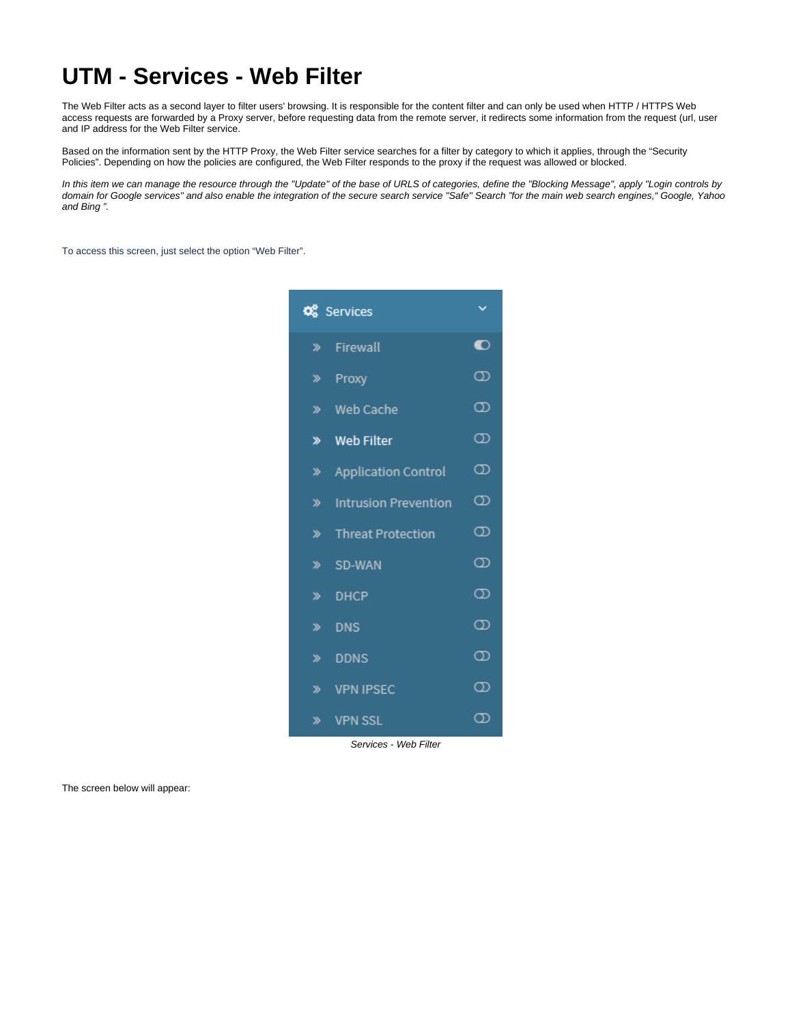## **UTM - Services - Web Filter**

The Web Filter acts as a second layer to filter users' browsing. It is responsible for the content filter and can only be used when HTTP / HTTPS Web access requests are forwarded by a Proxy server, before requesting data from the remote server, it redirects some information from the request (url, user and IP address for the Web Filter service.

Based on the information sent by the HTTP Proxy, the Web Filter service searches for a filter by category to which it applies, through the "Security Policies". Depending on how the policies are configured, the Web Filter responds to the proxy if the request was allowed or blocked.

In this item we can manage the resource through the "Update" of the base of URLS of categories, define the "Blocking Message", apply "Login controls by domain for Google services" and also enable the integration of the secure search service "Safe" Search "for the main web search engines," Google, Yahoo and Bing ".

To access this screen, just select the option "Web Filter".

| <b>Q</b> Services |                             |                   |  |  |
|-------------------|-----------------------------|-------------------|--|--|
|                   | » Firewall                  | $\bullet$         |  |  |
| $\gg$             | Proxy                       | $^\mathrm{\odot}$ |  |  |
|                   | » Web Cache                 | $\infty$          |  |  |
| ≫                 | <b>Web Filter</b>           | $^\circledR$      |  |  |
| ≫                 | <b>Application Control</b>  | ത                 |  |  |
| ≫                 | <b>Intrusion Prevention</b> | $^\mathrm{\odot}$ |  |  |
| ≫                 | <b>Threat Protection</b>    | $^\circledR$      |  |  |
| ≫                 | SD-WAN                      | ത                 |  |  |
| ≫                 | <b>DHCP</b>                 | ത                 |  |  |
| ≫                 | <b>DNS</b>                  | $\infty$          |  |  |
| ≫                 | <b>DDNS</b>                 | $^\mathrm{\odot}$ |  |  |
| ≫                 | <b>VPN IPSEC</b>            | $^\mathrm{\odot}$ |  |  |
| ≫                 | <b>VPN SSL</b>              | က                 |  |  |

Services - Web Filter

The screen below will appear: